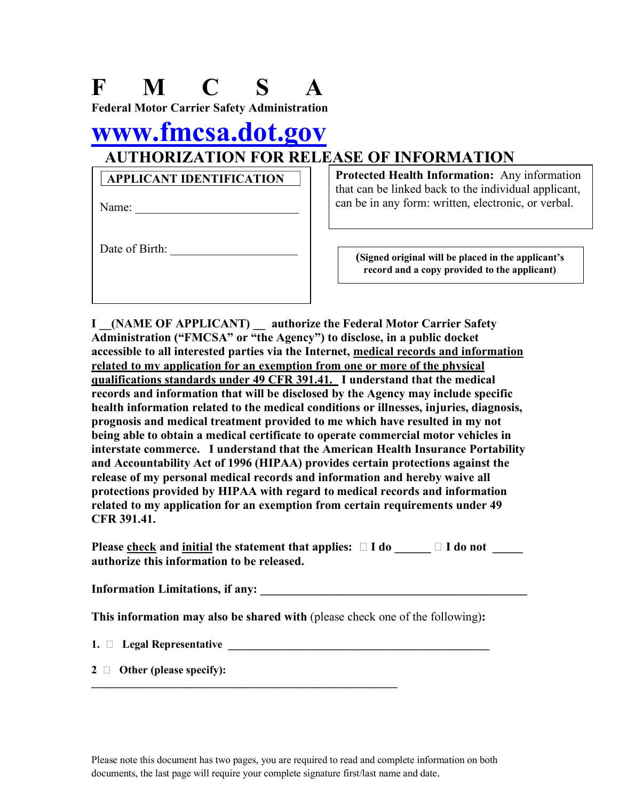| N C<br><b>Federal Motor Carrier Safety Administration</b> |                                                                                                                                                                     |
|-----------------------------------------------------------|---------------------------------------------------------------------------------------------------------------------------------------------------------------------|
| www.fmcsa.dot.gov                                         |                                                                                                                                                                     |
|                                                           | <b>AUTHORIZATION FOR RELEASE OF INFORMATION</b>                                                                                                                     |
| <b>APPLICANT IDENTIFICATION</b><br>Name:                  | <b>Protected Health Information:</b> Any information<br>that can be linked back to the individual applicant,<br>can be in any form: written, electronic, or verbal. |
| Date of Birth:                                            | (Signed original will be placed in the applicant's<br>record and a copy provided to the applicant)                                                                  |

**I \_\_(NAME OF APPLICANT) \_\_ authorize the Federal Motor Carrier Safety Administration ("FMCSA" or "the Agency") to disclose, in a public docket accessible to all interested parties via the Internet, medical records and information related to my application for an exemption from one or more of the physical qualifications standards under 49 CFR 391.41. I understand that the medical records and information that will be disclosed by the Agency may include specific health information related to the medical conditions or illnesses, injuries, diagnosis, prognosis and medical treatment provided to me which have resulted in my not being able to obtain a medical certificate to operate commercial motor vehicles in interstate commerce. I understand that the American Health Insurance Portability and Accountability Act of 1996 (HIPAA) provides certain protections against the release of my personal medical records and information and hereby waive all protections provided by HIPAA with regard to medical records and information related to my application for an exemption from certain requirements under 49 CFR 391.41.**

**Please check and initial the statement that applies:**  $\Box$  **<b>I** do  $\Box$  **I** do not **authorize this information to be released.**

**Information Limitations, if any: \_\_\_\_\_\_\_\_\_\_\_\_\_\_\_\_\_\_\_\_\_\_\_\_\_\_\_\_\_\_\_\_\_\_\_\_\_\_\_\_\_\_\_\_**

**This information may also be shared with** (please check one of the following)**:**

**1.**  $\Box$  **Legal Representative** 

**2 Other (please specify):**

Please note this document has two pages, you are required to read and complete information on both documents, the last page will require your complete signature first/last name and date.